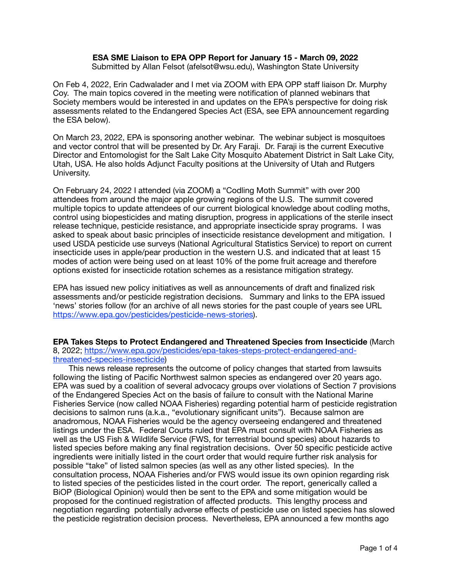## **ESA SME Liaison to EPA OPP Report for January 15 - March 09, 2022**

Submitted by Allan Felsot (afelsot@wsu.edu), Washington State University

On Feb 4, 2022, Erin Cadwalader and I met via ZOOM with EPA OPP staff liaison Dr. Murphy Coy. The main topics covered in the meeting were notification of planned webinars that Society members would be interested in and updates on the EPA's perspective for doing risk assessments related to the Endangered Species Act (ESA, see EPA announcement regarding the ESA below).

On March 23, 2022, EPA is sponsoring another webinar. The webinar subject is mosquitoes and vector control that will be presented by Dr. Ary Faraji. Dr. Faraji is the current Executive Director and Entomologist for the Salt Lake City Mosquito Abatement District in Salt Lake City, Utah, USA. He also holds Adjunct Faculty positions at the University of Utah and Rutgers University.

On February 24, 2022 I attended (via ZOOM) a "Codling Moth Summit" with over 200 attendees from around the major apple growing regions of the U.S. The summit covered multiple topics to update attendees of our current biological knowledge about codling moths, control using biopesticides and mating disruption, progress in applications of the sterile insect release technique, pesticide resistance, and appropriate insecticide spray programs. I was asked to speak about basic principles of insecticide resistance development and mitigation. I used USDA pesticide use surveys (National Agricultural Statistics Service) to report on current insecticide uses in apple/pear production in the western U.S. and indicated that at least 15 modes of action were being used on at least 10% of the pome fruit acreage and therefore options existed for insecticide rotation schemes as a resistance mitigation strategy.

EPA has issued new policy initiatives as well as announcements of draft and finalized risk assessments and/or pesticide registration decisions. Summary and links to the EPA issued 'news' stories follow (for an archive of all news stories for the past couple of years see URL [https://www.epa.gov/pesticides/pesticide-news-stories\)](https://www.epa.gov/pesticides/pesticide-news-stories).

**EPA Takes Steps to Protect Endangered and Threatened Species from Insecticide** (March 8, 2022; [https://www.epa.gov/pesticides/epa-takes-steps-protect-endangered-and](https://www.epa.gov/pesticides/epa-takes-steps-protect-endangered-and-threatened-species-insecticide)[threatened-species-insecticide\)](https://www.epa.gov/pesticides/epa-takes-steps-protect-endangered-and-threatened-species-insecticide)

 This news release represents the outcome of policy changes that started from lawsuits following the listing of Pacific Northwest salmon species as endangered over 20 years ago. EPA was sued by a coalition of several advocacy groups over violations of Section 7 provisions of the Endangered Species Act on the basis of failure to consult with the National Marine Fisheries Service (now called NOAA Fisheries) regarding potential harm of pesticide registration decisions to salmon runs (a.k.a., "evolutionary significant units"). Because salmon are anadromous, NOAA Fisheries would be the agency overseeing endangered and threatened listings under the ESA. Federal Courts ruled that EPA must consult with NOAA Fisheries as well as the US Fish & Wildlife Service (FWS, for terrestrial bound species) about hazards to listed species before making any final registration decisions. Over 50 specific pesticide active ingredients were initially listed in the court order that would require further risk analysis for possible "take" of listed salmon species (as well as any other listed species). In the consultation process, NOAA Fisheries and/or FWS would issue its own opinion regarding risk to listed species of the pesticides listed in the court order. The report, generically called a BiOP (Biological Opinion) would then be sent to the EPA and some mitigation would be proposed for the continued registration of affected products. This lengthy process and negotiation regarding potentially adverse effects of pesticide use on listed species has slowed the pesticide registration decision process. Nevertheless, EPA announced a few months ago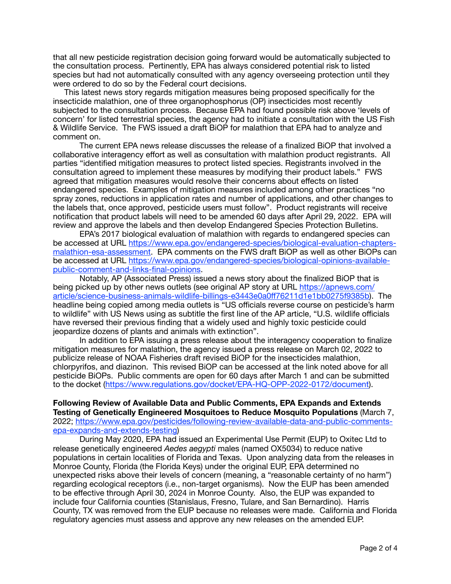that all new pesticide registration decision going forward would be automatically subjected to the consultation process. Pertinently, EPA has always considered potential risk to listed species but had not automatically consulted with any agency overseeing protection until they were ordered to do so by the Federal court decisions.

 This latest news story regards mitigation measures being proposed specifically for the insecticide malathion, one of three organophosphorus (OP) insecticides most recently subjected to the consultation process. Because EPA had found possible risk above 'levels of concern' for listed terrestrial species, the agency had to initiate a consultation with the US Fish & Wildlife Service. The FWS issued a draft BiOP for malathion that EPA had to analyze and comment on.

The current EPA news release discusses the release of a finalized BiOP that involved a collaborative interagency effort as well as consultation with malathion product registrants. All parties "identified mitigation measures to protect listed species. Registrants involved in the consultation agreed to implement these measures by modifying their product labels." FWS agreed that mitigation measures would resolve their concerns about effects on listed endangered species. Examples of mitigation measures included among other practices "no spray zones, reductions in application rates and number of applications, and other changes to the labels that, once approved, pesticide users must follow". Product registrants will receive notification that product labels will need to be amended 60 days after April 29, 2022. EPA will review and approve the labels and then develop Endangered Species Protection Bulletins.

EPA's 2017 biological evaluation of malathion with regards to endangered species can be accessed at URL [https://www.epa.gov/endangered-species/biological-evaluation-chapters](https://www.epa.gov/endangered-species/biological-evaluation-chapters-malathion-esa-assessment)[malathion-esa-assessment. EPA comments on the FWS draft BiOP as well as other BiOPs can](https://www.epa.gov/endangered-species/biological-evaluation-chapters-malathion-esa-assessment) [be accessed at URL https://www.epa.gov/endangered-species/biological-opinions-available](https://www.epa.gov/endangered-species/biological-opinions-available-public-comment-and-links-final-opinions)[public-comment-and-links-final-opinions](https://www.epa.gov/endangered-species/biological-opinions-available-public-comment-and-links-final-opinions).

Notably, AP (Associated Press) issued a news story about the finalized BiOP that is being picked up by other news outlets (see original AP story at URL [https://apnews.com/](https://apnews.com/article/science-business-animals-wildlife-billings-e3443e0a0ff76211d1e1bb0275f9385b) [article/science-business-animals-wildlife-billings-e3443e0a0](https://apnews.com/article/science-business-animals-wildlife-billings-e3443e0a0ff76211d1e1bb0275f9385b)ff76211d1e1bb0275f9385b). The headline being copied among media outlets is "US officials reverse course on pesticide's harm to wildlife" with US News using as subtitle the first line of the AP article, "U.S. wildlife officials have reversed their previous finding that a widely used and highly toxic pesticide could jeopardize dozens of plants and animals with extinction".

In addition to EPA issuing a press release about the interagency cooperation to finalize mitigation measures for malathion, the agency issued a press release on March 02, 2022 to publicize release of NOAA Fisheries draft revised BiOP for the insecticides malathion, chlorpyrifos, and diazinon. This revised BiOP can be accessed at the link noted above for all pesticide BiOPs. Public comments are open for 60 days after March 1 and can be submitted to the docket [\(https://www.regulations.gov/docket/EPA-HQ-OPP-2022-0172/document\)](https://www.regulations.gov/docket/EPA-HQ-OPP-2022-0172/document).

**Following Review of Available Data and Public Comments, EPA Expands and Extends Testing of Genetically Engineered Mosquitoes to Reduce Mosquito Populations** (March 7, 2022; [https://www.epa.gov/pesticides/following-review-available-data-and-public-comments](https://www.epa.gov/pesticides/following-review-available-data-and-public-comments-epa-expands-and-extends-testing)[epa-expands-and-extends-testing](https://www.epa.gov/pesticides/following-review-available-data-and-public-comments-epa-expands-and-extends-testing))

During May 2020, EPA had issued an Experimental Use Permit (EUP) to Oxitec Ltd to release genetically engineered *Aedes aegypti* males (named OX5034) to reduce native populations in certain localities of Florida and Texas. Upon analyzing data from the releases in Monroe County, Florida (the Florida Keys) under the original EUP, EPA determined no unexpected risks above their levels of concern (meaning, a "reasonable certainty of no harm") regarding ecological receptors (i.e., non-target organisms). Now the EUP has been amended to be effective through April 30, 2024 in Monroe County. Also, the EUP was expanded to include four California counties (Stanislaus, Fresno, Tulare, and San Bernardino). Harris County, TX was removed from the EUP because no releases were made. California and Florida regulatory agencies must assess and approve any new releases on the amended EUP.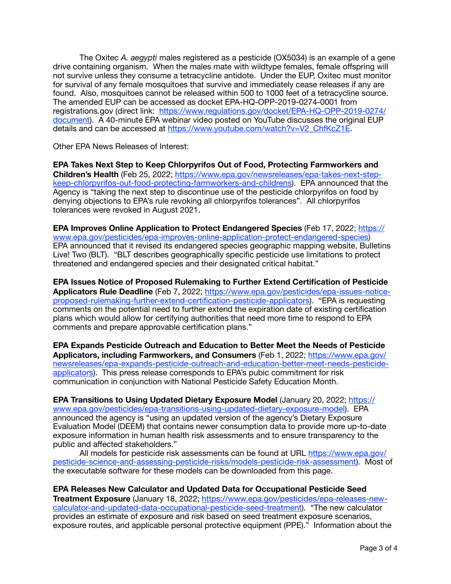The Oxitec *A. aegypti* males registered as a pesticide (OX5034) is an example of a gene drive containing organism. When the males mate with wildtype females, female offspring will not survive unless they consume a tetracycline antidote. Under the EUP, Oxitec must monitor for survival of any female mosquitoes that survive and immediately cease releases if any are found. Also, mosquitoes cannot be released within 500 to 1000 feet of a tetracycline source. The amended EUP can be accessed as docket EPA-HQ-OPP-2019-0274-0001 from registrations.gov (direct link: [https://www.regulations.gov/docket/EPA-HQ-OPP-2019-0274/](https://www.regulations.gov/docket/EPA-HQ-OPP-2019-0274/document) [document\)](https://www.regulations.gov/docket/EPA-HQ-OPP-2019-0274/document). A 40-minute EPA webinar video posted on YouTube discusses the original EUP details and can be accessed at [https://www.youtube.com/watch?v=V2\\_ChfKcZ1E](https://www.youtube.com/watch?v=V2_ChfKcZ1E).

Other EPA News Releases of Interest:

**EPA Takes Next Step to Keep Chlorpyrifos Out of Food, Protecting Farmworkers and Children's Health** (Feb 25, 2022; [https://www.epa.gov/newsreleases/epa-takes-next-step](https://www.epa.gov/newsreleases/epa-takes-next-step-keep-chlorpyrifos-out-food-protecting-farmworkers-and-childrens)[keep-chlorpyrifos-out-food-protecting-farmworkers-and-childrens\). EPA announced that th](https://www.epa.gov/newsreleases/epa-takes-next-step-keep-chlorpyrifos-out-food-protecting-farmworkers-and-childrens)e Agency is "taking the next step to discontinue use of the pesticide chlorpyrifos on food by denying objections to EPA's rule revoking all chlorpyrifos tolerances". All chlorpyrifos tolerances were revoked in August 2021.

**[EPA Improves Online Application to Protect Endangered Species](https://www.epa.gov/pesticides/epa-improves-online-application-protect-endangered-species)** (Feb 17, 2022; [https://](https://www.epa.gov/pesticides/epa-improves-online-application-protect-endangered-species) [www.epa.gov/pesticides/epa-improves-online-application-protect-endangered-species](https://www.epa.gov/pesticides/epa-improves-online-application-protect-endangered-species)) EPA announced that it revised its endangered species geographic mapping website, Bulletins Live! Two (BLT). "BLT describes geographically specific pesticide use limitations to protect threatened and endangered species and their designated critical habitat."

**EPA Issues Notice of Proposed Rulemaking to Further Extend Certification of Pesticide Applicators Rule Deadline** (Feb 7, 2022; [https://www.epa.gov/pesticides/epa-issues-notice](https://www.epa.gov/pesticides/epa-issues-notice-proposed-rulemaking-further-extend-certification-pesticide-applicators)[proposed-rulemaking-further-extend-certification-pesticide-applicators\). "EPA is requesting](https://www.epa.gov/pesticides/epa-issues-notice-proposed-rulemaking-further-extend-certification-pesticide-applicators)  comments on the potential need to further extend the expiration date of existing certification plans which would allow for certifying authorities that need more time to respond to EPA comments and prepare approvable certification plans."

**EPA Expands Pesticide Outreach and Education to Better Meet the Needs of Pesticide Applicators, including Farmworkers, and Consumers** (Feb 1, 2022; [https://www.epa.gov/](https://www.epa.gov/newsreleases/epa-expands-pesticide-outreach-and-education-better-meet-needs-pesticide-applicators) [newsreleases/epa-expands-pesticide-outreach-and-education-better-meet-needs-pesticide](https://www.epa.gov/newsreleases/epa-expands-pesticide-outreach-and-education-better-meet-needs-pesticide-applicators)[applicators\)](https://www.epa.gov/newsreleases/epa-expands-pesticide-outreach-and-education-better-meet-needs-pesticide-applicators). This press release corresponds to EPA's pubic commitment for risk communication in conjunction with National Pesticide Safety Education Month.

**EPA Transitions to Using Updated Dietary Exposure Model** (January 20, 2022; [https://](https://www.epa.gov/pesticides/epa-transitions-using-updated-dietary-exposure-model) [www.epa.gov/pesticides/epa-transitions-using-updated-dietary-exposure-model](https://www.epa.gov/pesticides/epa-transitions-using-updated-dietary-exposure-model)). EPA announced the agency is "using an updated version of the agency's Dietary Exposure Evaluation Model (DEEM) that contains newer consumption data to provide more up-to-date exposure information in human health risk assessments and to ensure transparency to the public and affected stakeholders."

All models for pesticide risk assessments can be found at URL [https://www.epa.gov/](https://www.epa.gov/pesticide-science-and-assessing-pesticide-risks/models-pesticide-risk-assessment) [pesticide-science-and-assessing-pesticide-risks/models-pesticide-risk-assessment\). Most o](https://www.epa.gov/pesticide-science-and-assessing-pesticide-risks/models-pesticide-risk-assessment)f the executable software for these models can be downloaded from this page.

**EPA Releases New Calculator and Updated Data for Occupational Pesticide Seed Treatment Exposure** (January 18, 2022; [https://www.epa.gov/pesticides/epa-releases-new](https://www.epa.gov/pesticides/epa-releases-new-calculator-and-updated-data-occupational-pesticide-seed-treatment)[calculator-and-updated-data-occupational-pesticide-seed-treatment\). "The new calculator](https://www.epa.gov/pesticides/epa-releases-new-calculator-and-updated-data-occupational-pesticide-seed-treatment)  provides an estimate of exposure and risk based on seed treatment exposure scenarios, exposure routes, and applicable personal protective equipment (PPE)." Information about the